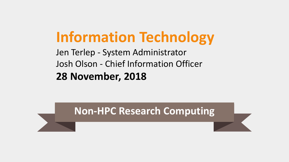# **Information Technology**

Jen Terlep - System Administrator Josh Olson - Chief Information Officer **28 November, 2018**

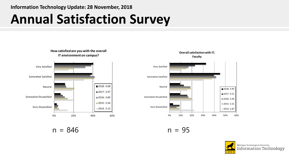### **Information Technology Update: 28 November, 2018**

## **Annual Satisfaction Survey**



 $n = 846$  n = 95



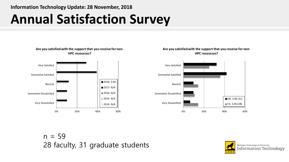**Information Technology Update: 28 November, 2018**

## **Annual Satisfaction Survey**



#### **Are you satisfied with the support that you receive for non-HPC resources?**



 $n = 59$ 28 faculty, 31 graduate students

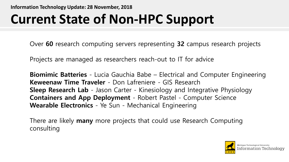# **Current State of Non-HPC Support**

Over **60** research computing servers representing **32** campus research projects

Projects are managed as researchers reach-out to IT for advice

**Biomimic Batteries** - Lucia Gauchia Babe – Electrical and Computer Engineering **Keweenaw Time Traveler** - Don Lafreniere - GIS Research **Sleep Research Lab** - Jason Carter - Kinesiology and Integrative Physiology **Containers and App Deployment** - Robert Pastel - Computer Science **Wearable Electronics** - Ye Sun - Mechanical Engineering

There are likely **many** more projects that could use Research Computing consulting

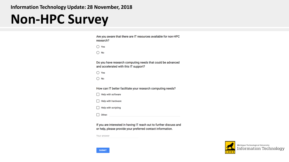### **Information Technology Update: 28 November, 2018**

### **Non-HPC Survey**

| Are you aware that there are IT resources available for non-HPC<br>research?                         |
|------------------------------------------------------------------------------------------------------|
| ◯ Yes                                                                                                |
| $\bigcirc$ No                                                                                        |
| Do you have research computing needs that could be advanced<br>and accelerated with this IT support? |
| ◯ Yes                                                                                                |
| No                                                                                                   |
|                                                                                                      |
| How can IT better facilitate your research computing needs?                                          |
| Help with software                                                                                   |
| Help with hardware                                                                                   |
| Help with scripting                                                                                  |
| Other:                                                                                               |

If you are interested in having IT reach out to further discuss and or help, please provide your preferred contact information.

Your answer